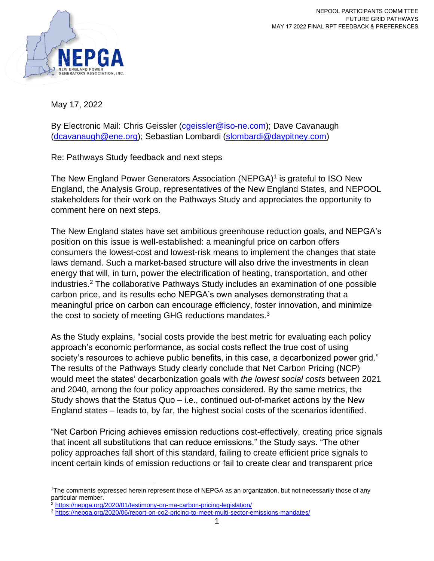

May 17, 2022

By Electronic Mail: Chris Geissler (caeissler@iso-ne.com); Dave Cavanaugh [\(dcavanaugh@ene.org\)](mailto:dcavanaugh@ene.org); Sebastian Lombardi [\(slombardi@daypitney.com\)](mailto:slombardi@daypitney.com)

Re: Pathways Study feedback and next steps

The New England Power Generators Association (NEPGA)<sup>1</sup> is grateful to ISO New England, the Analysis Group, representatives of the New England States, and NEPOOL stakeholders for their work on the Pathways Study and appreciates the opportunity to comment here on next steps.

The New England states have set ambitious greenhouse reduction goals, and NEPGA's position on this issue is well-established: a meaningful price on carbon offers consumers the lowest-cost and lowest-risk means to implement the changes that state laws demand. Such a market-based structure will also drive the investments in clean energy that will, in turn, power the electrification of heating, transportation, and other industries. <sup>2</sup> The collaborative Pathways Study includes an examination of one possible carbon price, and its results echo NEPGA's own analyses demonstrating that a meaningful price on carbon can encourage efficiency, foster innovation, and minimize the cost to society of meeting GHG reductions mandates.<sup>3</sup>

As the Study explains, "social costs provide the best metric for evaluating each policy approach's economic performance, as social costs reflect the true cost of using society's resources to achieve public benefits, in this case, a decarbonized power grid." The results of the Pathways Study clearly conclude that Net Carbon Pricing (NCP) would meet the states' decarbonization goals with *the lowest social costs* between 2021 and 2040, among the four policy approaches considered. By the same metrics, the Study shows that the Status Quo – i.e., continued out-of-market actions by the New England states – leads to, by far, the highest social costs of the scenarios identified.

"Net Carbon Pricing achieves emission reductions cost-effectively, creating price signals that incent all substitutions that can reduce emissions," the Study says. "The other policy approaches fall short of this standard, failing to create efficient price signals to incent certain kinds of emission reductions or fail to create clear and transparent price

<sup>1</sup>The comments expressed herein represent those of NEPGA as an organization, but not necessarily those of any particular member.

<sup>&</sup>lt;sup>2</sup> <https://nepga.org/2020/01/testimony-on-ma-carbon-pricing-legislation/>

<sup>3</sup> <https://nepga.org/2020/06/report-on-co2-pricing-to-meet-multi-sector-emissions-mandates/>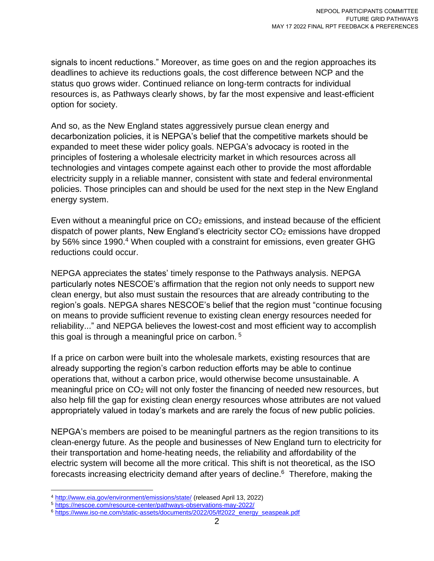signals to incent reductions." Moreover, as time goes on and the region approaches its deadlines to achieve its reductions goals, the cost difference between NCP and the status quo grows wider. Continued reliance on long-term contracts for individual resources is, as Pathways clearly shows, by far the most expensive and least-efficient option for society.

And so, as the New England states aggressively pursue clean energy and decarbonization policies, it is NEPGA's belief that the competitive markets should be expanded to meet these wider policy goals. NEPGA's advocacy is rooted in the principles of fostering a wholesale electricity market in which resources across all technologies and vintages compete against each other to provide the most affordable electricity supply in a reliable manner, consistent with state and federal environmental policies. Those principles can and should be used for the next step in the New England energy system.

Even without a meaningful price on  $CO<sub>2</sub>$  emissions, and instead because of the efficient dispatch of power plants, New England's electricity sector CO<sub>2</sub> emissions have dropped by 56% since 1990. <sup>4</sup> When coupled with a constraint for emissions, even greater GHG reductions could occur.

NEPGA appreciates the states' timely response to the Pathways analysis. NEPGA particularly notes NESCOE's affirmation that the region not only needs to support new clean energy, but also must sustain the resources that are already contributing to the region's goals. NEPGA shares NESCOE's belief that the region must "continue focusing on means to provide sufficient revenue to existing clean energy resources needed for reliability..." and NEPGA believes the lowest-cost and most efficient way to accomplish this goal is through a meaningful price on carbon. <sup>5</sup>

If a price on carbon were built into the wholesale markets, existing resources that are already supporting the region's carbon reduction efforts may be able to continue operations that, without a carbon price, would otherwise become unsustainable. A meaningful price on CO<sub>2</sub> will not only foster the financing of needed new resources, but also help fill the gap for existing clean energy resources whose attributes are not valued appropriately valued in today's markets and are rarely the focus of new public policies.

NEPGA's members are poised to be meaningful partners as the region transitions to its clean-energy future. As the people and businesses of New England turn to electricity for their transportation and home-heating needs, the reliability and affordability of the electric system will become all the more critical. This shift is not theoretical, as the ISO forecasts increasing electricity demand after years of decline. <sup>6</sup> Therefore, making the

<sup>4</sup> <http://www.eia.gov/environment/emissions/state/> (released April 13, 2022)

<sup>5</sup> <https://nescoe.com/resource-center/pathways-observations-may-2022/>

<sup>&</sup>lt;sup>6</sup> [https://www.iso-ne.com/static-assets/documents/2022/05/lf2022\\_energy\\_seaspeak.pdf](https://www.iso-ne.com/static-assets/documents/2022/05/lf2022_energy_seaspeak.pdf)